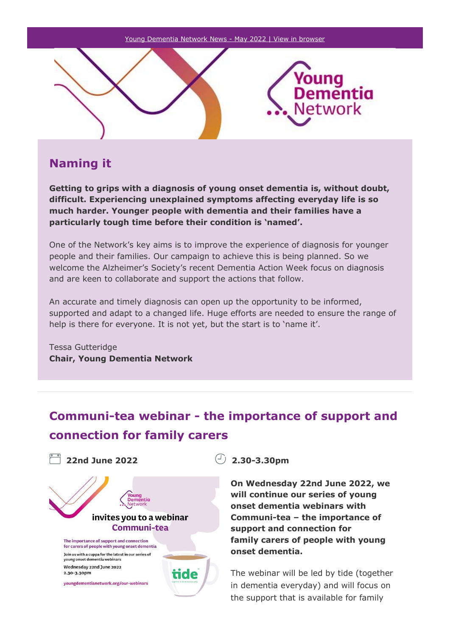

## **Naming it**

**Getting to grips with a diagnosis of young onset dementia is, without doubt, difficult. Experiencing unexplained symptoms affecting everyday life is so much harder. Younger people with dementia and their families have a particularly tough time before their condition is 'named'.**

One of the Network's key aims is to improve the experience of diagnosis for younger people and their families. Our campaign to achieve this is being planned. So we welcome the Alzheimer's Society's recent Dementia Action Week focus on diagnosis and are keen to collaborate and support the actions that follow.

An accurate and timely diagnosis can open up the opportunity to be informed, supported and adapt to a changed life. Huge efforts are needed to ensure the range of help is there for everyone. It is not yet, but the start is to 'name it'.

Tessa Gutteridge **Chair, Young Dementia Network**

# **Communi-tea webinar - the importance of support and connection for family carers**



**On Wednesday 22nd June 2022, we will continue our series of young onset dementia webinars with Communi-tea – the importance of support and connection for family carers of people with young onset dementia.**

The webinar will be led by tide (together in dementia everyday) and will focus on the support that is available for family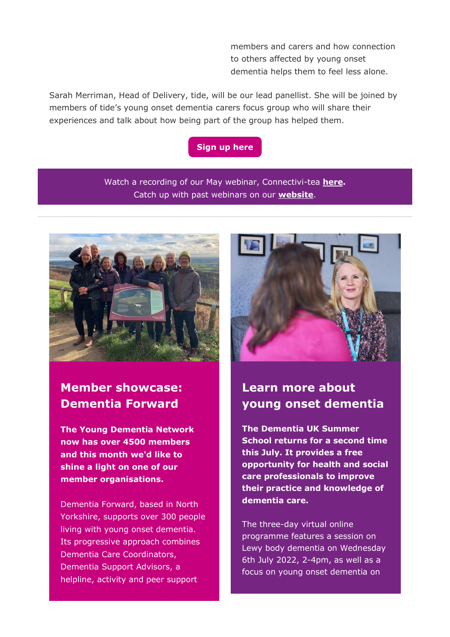members and carers and how connection to others affected by young onset dementia helps them to feel less alone.

Sarah Merriman, Head of Delivery, tide, will be our lead panellist. She will be joined by members of tide's young onset dementia carers focus group who will share their experiences and talk about how being part of the group has helped them.

### **[Sign up here](https://protect-eu.mimecast.com/s/D3VECZ4JKsPJ0LCnjnx5?domain=email.youngdementianetwork.org)**

Watch a recording of our May webinar, Connectivi-tea **[here.](https://protect-eu.mimecast.com/s/jO7aC1j8oFnVloFRY_26?domain=email.youngdementianetwork.org)** Catch up with past webinars on our **[website](https://protect-eu.mimecast.com/s/xFZcC2R5puKMgXtrqCdP?domain=email.youngdementianetwork.org)**.



## **Member showcase: Dementia Forward**

**The Young Dementia Network now has over 4500 members and this month we'd like to shine a light on one of our member organisations.**

Dementia Forward, based in North Yorkshire, supports over 300 people living with young onset dementia. Its progressive approach combines Dementia Care Coordinators, Dementia Support Advisors, a helpline, activity and peer support



# **Learn more about young onset dementia**

**The Dementia UK Summer School returns for a second time this July. It provides a free opportunity for health and social care professionals to improve their practice and knowledge of dementia care.**

The three-day virtual online programme features a session on Lewy body dementia on Wednesday 6th July 2022, 2-4pm, as well as a focus on young onset dementia on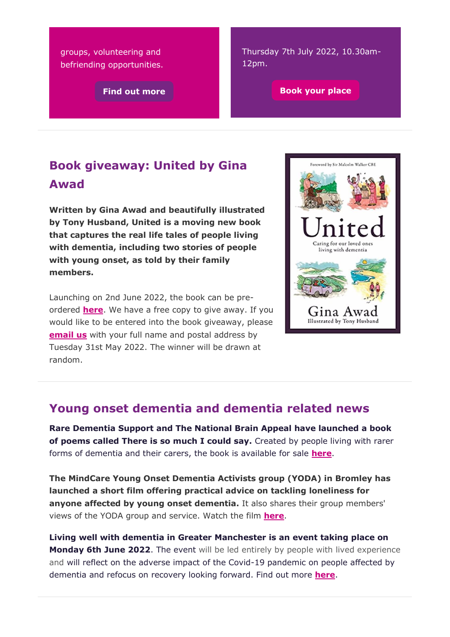groups, volunteering and befriending opportunities.

Thursday 7th July 2022, 10.30am-12pm.

**[Find out more](https://protect-eu.mimecast.com/s/Yg2cC3l5qh7nOlHlAXxr?domain=email.youngdementianetwork.org) [Book your place](https://protect-eu.mimecast.com/s/LKQiC487rhYXqOtr6qWz?domain=email.youngdementianetwork.org)** 

# **Book giveaway: United by Gina Awad**

**Written by Gina Awad and beautifully illustrated by Tony Husband, United is a moving new book that captures the real life tales of people living with dementia, including two stories of people with young onset, as told by their family members.**

Launching on 2nd June 2022, the book can be preordered **[here](https://protect-eu.mimecast.com/s/CM_AC585vhgB27t7cCyj?domain=email.youngdementianetwork.org)**. We have a free copy to give away. If you would like to be entered into the book giveaway, please **[email us](mailto:kate.fallows@dementiauk.org?subject=kate.fallows%40dementiauk.org)** with your full name and postal address by Tuesday 31st May 2022. The winner will be drawn at random.



## **Young onset dementia and dementia related news**

**Rare Dementia Support and The National Brain Appeal have launched a book of poems called There is so much I could say.** Created by people living with rarer forms of dementia and their carers, the book is available for sale **[here](https://protect-eu.mimecast.com/s/GNiBC665wsV5qvCPX4kN?domain=email.youngdementianetwork.org)**.

**The MindCare Young Onset Dementia Activists group (YODA) in Bromley has launched a short film offering practical advice on tackling loneliness for anyone affected by young onset dementia.** It also shares their group members' views of the YODA group and service. Watch the film **[here](https://protect-eu.mimecast.com/s/wHEAC765xsEDwKHD1Cpw?domain=email.youngdementianetwork.org)**.

**Living well with dementia in Greater Manchester is an event taking place on Monday 6th June 2022**. The event will be led entirely by people with lived experience and will reflect on the adverse impact of the Covid-19 pandemic on people affected by dementia and refocus on recovery looking forward. Find out more **[here](https://protect-eu.mimecast.com/s/Ns3WC8q5ySOoE0tqulKI?domain=email.youngdementianetwork.org)**.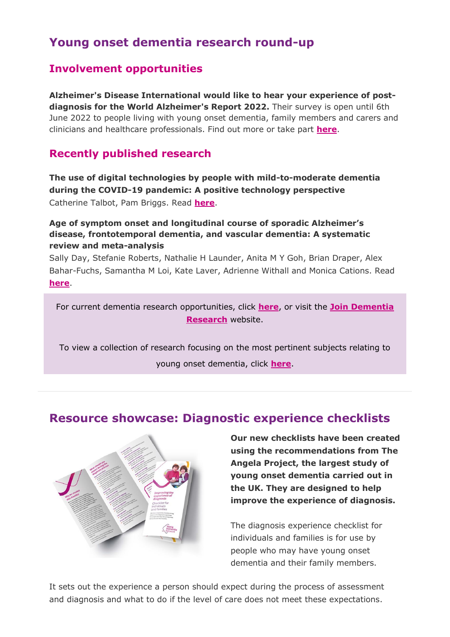## **Young onset dementia research round-up**

## **Involvement opportunities**

**Alzheimer's Disease International would like to hear your experience of postdiagnosis for the World Alzheimer's Report 2022.** Their survey is open until 6th June 2022 to people living with young onset dementia, family members and carers and clinicians and healthcare professionals. Find out more or take part **[here](https://protect-eu.mimecast.com/s/bUzTC985zhRGDXcX_u5r?domain=email.youngdementianetwork.org)**.

### **Recently published research**

**The use of digital technologies by people with mild-to-moderate dementia during the COVID-19 pandemic: A positive technology perspective** Catherine Talbot, Pam Briggs. Read **[here](https://protect-eu.mimecast.com/s/de8IC0g6nUJ1p5HEaZMf?domain=email.youngdementianetwork.org)**.

### **Age of symptom onset and longitudinal course of sporadic Alzheimer's disease, frontotemporal dementia, and vascular dementia: A systematic review and meta-analysis**

Sally Day, Stefanie Roberts, Nathalie H Launder, Anita M Y Goh, Brian Draper, Alex Bahar-Fuchs, Samantha M Loi, Kate Laver, Adrienne Withall and Monica Cations. Read **[here](https://protect-eu.mimecast.com/s/PxdWCg5gqFPMDRCRP2_Q?domain=email.youngdementianetwork.org)**.

For current dementia research opportunities, click **[here](https://protect-eu.mimecast.com/s/Ezf2Cj2lwclWVXuNEreL?domain=email.youngdementianetwork.org)**, or visit the **[Join Dementia](https://protect-eu.mimecast.com/s/5zRZCk5mxFYxPjtBy8a0?domain=email.youngdementianetwork.org)  [Research](https://protect-eu.mimecast.com/s/5zRZCk5mxFYxPjtBy8a0?domain=email.youngdementianetwork.org)** website.

To view a collection of research focusing on the most pertinent subjects relating to young onset dementia, click **[here](https://protect-eu.mimecast.com/s/NOaLClOnyfOQj8t3VNB7?domain=email.youngdementianetwork.org)**.

## **Resource showcase: Diagnostic experience checklists**



**Our new checklists have been created using the recommendations from The Angela Project, the largest study of young onset dementia carried out in the UK. They are designed to help improve the experience of diagnosis.** 

The diagnosis experience checklist for individuals and families is for use by people who may have young onset dementia and their family members.

It sets out the experience a person should expect during the process of assessment and diagnosis and what to do if the level of care does not meet these expectations.